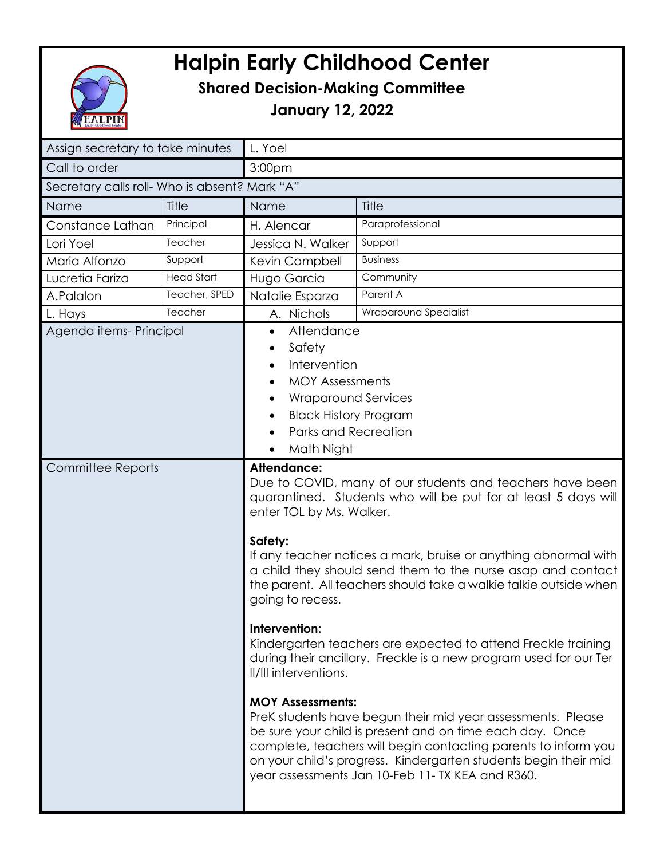

## **Halpin Early Childhood Center**

## **Shared Decision-Making Committee**

**January 12, 2022**

| Assign secretary to take minutes              |               | L. Yoel                                                                                                                                                                                                                                                                                                                                                                                       |                                                                                                                                                                                                                                                                                                                 |
|-----------------------------------------------|---------------|-----------------------------------------------------------------------------------------------------------------------------------------------------------------------------------------------------------------------------------------------------------------------------------------------------------------------------------------------------------------------------------------------|-----------------------------------------------------------------------------------------------------------------------------------------------------------------------------------------------------------------------------------------------------------------------------------------------------------------|
| Call to order                                 |               | 3:00pm                                                                                                                                                                                                                                                                                                                                                                                        |                                                                                                                                                                                                                                                                                                                 |
| Secretary calls roll- Who is absent? Mark "A" |               |                                                                                                                                                                                                                                                                                                                                                                                               |                                                                                                                                                                                                                                                                                                                 |
| Name                                          | Title         | Name                                                                                                                                                                                                                                                                                                                                                                                          | Title                                                                                                                                                                                                                                                                                                           |
| Constance Lathan                              | Principal     | H. Alencar                                                                                                                                                                                                                                                                                                                                                                                    | Paraprofessional                                                                                                                                                                                                                                                                                                |
| Lori Yoel                                     | Teacher       | Jessica N. Walker                                                                                                                                                                                                                                                                                                                                                                             | Support                                                                                                                                                                                                                                                                                                         |
| Maria Alfonzo                                 | Support       | Kevin Campbell                                                                                                                                                                                                                                                                                                                                                                                | <b>Business</b>                                                                                                                                                                                                                                                                                                 |
| Lucretia Fariza                               | Head Start    | Hugo Garcia                                                                                                                                                                                                                                                                                                                                                                                   | Community                                                                                                                                                                                                                                                                                                       |
| A.Palalon                                     | Teacher, SPED | Natalie Esparza                                                                                                                                                                                                                                                                                                                                                                               | Parent A                                                                                                                                                                                                                                                                                                        |
| L. Hays                                       | Teacher       | A. Nichols                                                                                                                                                                                                                                                                                                                                                                                    | Wraparound Specialist                                                                                                                                                                                                                                                                                           |
| Agenda items-Principal                        |               | Safety<br>$\bullet$<br>Intervention<br><b>MOY Assessments</b><br>$\bullet$<br><b>Wraparound Services</b><br><b>Black History Program</b><br>Parks and Recreation<br>Math Night<br><b>Attendance:</b>                                                                                                                                                                                          |                                                                                                                                                                                                                                                                                                                 |
| <b>Committee Reports</b>                      |               | Due to COVID, many of our students and teachers have been<br>quarantined. Students who will be put for at least 5 days will<br>enter TOL by Ms. Walker.<br>Safety:<br>If any teacher notices a mark, bruise or anything abnormal with<br>a child they should send them to the nurse asap and contact<br>the parent. All teachers should take a walkie talkie outside when<br>going to recess. |                                                                                                                                                                                                                                                                                                                 |
|                                               |               | Intervention:<br>Kindergarten teachers are expected to attend Freckle training<br>during their ancillary. Freckle is a new program used for our Ter<br>II/III interventions.<br><b>MOY Assessments:</b>                                                                                                                                                                                       |                                                                                                                                                                                                                                                                                                                 |
|                                               |               |                                                                                                                                                                                                                                                                                                                                                                                               | PreK students have begun their mid year assessments. Please<br>be sure your child is present and on time each day. Once<br>complete, teachers will begin contacting parents to inform you<br>on your child's progress. Kindergarten students begin their mid<br>year assessments Jan 10-Feb 11-TX KEA and R360. |